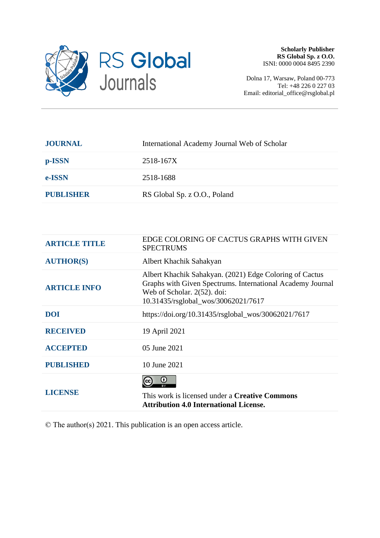

Dolna 17, Warsaw, Poland 00-773 Tel: +48 226 0 227 03 Email: editorial\_office@rsglobal.pl

| <b>JOURNAL</b>   | International Academy Journal Web of Scholar |
|------------------|----------------------------------------------|
| p-ISSN           | 2518-167X                                    |
| e-ISSN           | 2518-1688                                    |
| <b>PUBLISHER</b> | RS Global Sp. z O.O., Poland                 |
|                  |                                              |

| <b>ARTICLE TITLE</b> | EDGE COLORING OF CACTUS GRAPHS WITH GIVEN<br><b>SPECTRUMS</b>                                                                                                                               |
|----------------------|---------------------------------------------------------------------------------------------------------------------------------------------------------------------------------------------|
| <b>AUTHOR(S)</b>     | Albert Khachik Sahakyan                                                                                                                                                                     |
| <b>ARTICLE INFO</b>  | Albert Khachik Sahakyan. (2021) Edge Coloring of Cactus<br>Graphs with Given Spectrums. International Academy Journal<br>Web of Scholar. 2(52). doi:<br>10.31435/rsglobal_wos/30062021/7617 |
| <b>DOI</b>           | https://doi.org/10.31435/rsglobal_wos/30062021/7617                                                                                                                                         |
| <b>RECEIVED</b>      | 19 April 2021                                                                                                                                                                               |
| <b>ACCEPTED</b>      | 05 June 2021                                                                                                                                                                                |
| <b>PUBLISHED</b>     | 10 June 2021                                                                                                                                                                                |
| <b>LICENSE</b>       | $\bf o$<br>This work is licensed under a <b>Creative Commons</b><br><b>Attribution 4.0 International License.</b>                                                                           |

© The author(s) 2021. This publication is an open access article.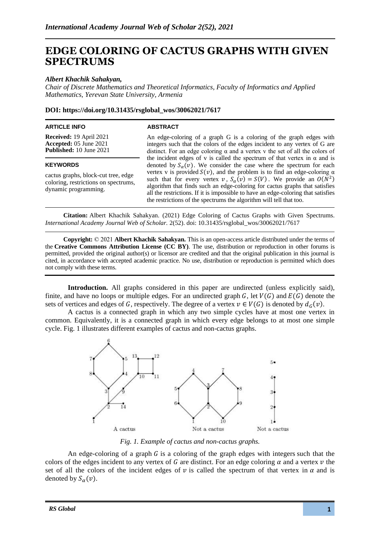# **EDGE COLORING OF CACTUS GRAPHS WITH GIVEN SPECTRUMS**

## *Albert Khachik Sahakyan,*

*Chair of Discrete Mathematics and Theoretical Informatics, Faculty of Informatics and Applied Mathematics, Yerevan State University, Armenia*

### **DOI: https://doi.org/10.31435/rsglobal\_wos/30062021/7617**

#### **ARTICLE INFO**

#### **ABSTRACT**

**Received:** 19 April 2021 **Accepted:** 05 June 2021 **Published:** 10 June 2021

#### **KEYWORDS**

cactus graphs, block-cut tree, edge coloring, restrictions on spectrums, dynamic programming.

An edge-coloring of a graph G is a coloring of the graph edges with integers such that the colors of the edges incident to any vertex of G are distinct. For an edge coloring  $\alpha$  and a vertex v the set of all the colors of the incident edges of v is called the spectrum of that vertex in  $\alpha$  and is denoted by  $S_{\alpha}(v)$ . We consider the case where the spectrum for each vertex v is provided  $S(v)$ , and the problem is to find an edge-coloring  $\alpha$ such that for every vertex  $v$ ,  $S_\alpha(v) = S(V)$ . We provide an  $O(N^2)$ algorithm that finds such an edge-coloring for cactus graphs that satisfies all the restrictions. If it is impossible to have an edge-coloring that satisfies the restrictions of the spectrums the algorithm will tell that too.

**Citation:** Albert Khachik Sahakyan. (2021) Edge Coloring of Cactus Graphs with Given Spectrums. *International Academy Journal Web of Scholar.* 2(52). doi: 10.31435/rsglobal\_wos/30062021/7617

**Copyright:** © 2021 **Albert Khachik Sahakyan.** This is an open-access article distributed under the terms of the **Creative Commons Attribution License (CC BY)**. The use, distribution or reproduction in other forums is permitted, provided the original author(s) or licensor are credited and that the original publication in this journal is cited, in accordance with accepted academic practice. No use, distribution or reproduction is permitted which does not comply with these terms.

**Introduction.** All graphs considered in this paper are undirected (unless explicitly said), finite, and have no loops or multiple edges. For an undirected graph G, let  $V(G)$  and  $E(G)$  denote the sets of vertices and edges of G, respectively. The degree of a vertex  $v \in V(G)$  is denoted by  $d_G(v)$ .

A cactus is a connected graph in which any two simple cycles have at most one vertex in common. Equivalently, it is a connected graph in which every edge belongs to at most one simple cycle. Fig. 1 illustrates different examples of cactus and non-cactus graphs.



*Fig. 1. Example of cactus and non-cactus graphs.*

An edge-coloring of a graph  $G$  is a coloring of the graph edges with integers such that the colors of the edges incident to any vertex of G are distinct. For an edge coloring  $\alpha$  and a vertex  $\nu$  the set of all the colors of the incident edges of v is called the spectrum of that vertex in  $\alpha$  and is denoted by  $S_{\alpha}(v)$ .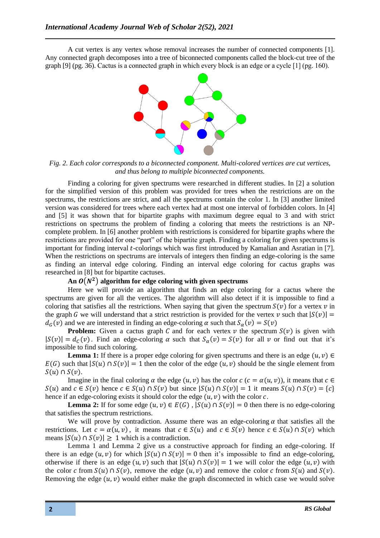A cut vertex is any vertex whose removal increases the number of connected components [1]. Any connected graph decomposes into a tree of biconnected components called the block-cut tree of the graph [9] (pg. 36). Cactus is а connected graph in which every block is an edge or а cycle [1] (pg. 160).



*Fig. 2. Each color corresponds to a biconnected component. Multi-colored vertices are cut vertices, and thus belong to multiple biconnected components.*

Finding a coloring for given spectrums were researched in different studies. In [2] a solution for the simplified version of this problem was provided for trees when the restrictions are on the spectrums, the restrictions are strict, and all the spectrums contain the color 1. In [3] another limited version was considered for trees where each vertex had at most one interval of forbidden colors. In [4] and [5] it was shown that for bipartite graphs with maximum degree equal to 3 and with strict restrictions on spectrums the problem of finding a coloring that meets the restrictions is an NPcomplete problem. In [6] another problem with restrictions is considered for bipartite graphs where the restrictions are provided for one "part" of the bipartite graph. Finding a coloring for given spectrums is important for finding interval *t*-colorings which was first introduced by Kamalian and Asratian in [7]. When the restrictions on spectrums are intervals of integers then finding an edge-coloring is the same as finding an interval edge coloring. Finding an interval edge coloring for cactus graphs was researched in [8] but for bipartite cactuses.

# An  $O(N^2)$  algorithm for edge coloring with given spectrums

Here we will provide an algorithm that finds an edge coloring for a cactus where the spectrums are given for all the vertices. The algorithm will also detect if it is impossible to find a coloring that satisfies all the restrictions. When saying that given the spectrum  $S(v)$  for a vertex  $v$  in the graph G we will understand that a strict restriction is provided for the vertex v such that  $|S(v)| =$  $d_c(v)$  and we are interested in finding an edge-coloring  $\alpha$  such that  $S_\alpha(v) = S(v)$ 

**Problem:** Given a cactus graph C and for each vertex  $v$  the spectrum  $S(v)$  is given with  $|S(v)| = d<sub>C</sub>(v)$ . Find an edge-coloring  $\alpha$  such that  $S<sub>\alpha</sub>(v) = S(v)$  for all v or find out that it's impossible to find such coloring.

**Lemma 1:** If there is a proper edge coloring for given spectrums and there is an edge  $(u, v) \in$  $E(G)$  such that  $|S(u) \cap S(v)| = 1$  then the color of the edge  $(u, v)$  should be the single element from  $S(u) \cap S(v)$ .

Imagine in the final coloring  $\alpha$  the edge  $(u, v)$  has the color  $c$   $(c = \alpha(u, v))$ , it means that  $c \in$  $S(u)$  and  $c \in S(v)$  hence  $c \in S(u) \cap S(v)$  but since  $|S(u) \cap S(v)| = 1$  it means  $S(u) \cap S(v) = \{c\}$ hence if an edge-coloring exists it should color the edge  $(u, v)$  with the color c.

**Lemma 2:** If for some edge  $(u, v) \in E(G)$ ,  $|S(u) \cap S(v)| = 0$  then there is no edge-coloring that satisfies the spectrum restrictions.

We will prove by contradiction. Assume there was an edge-coloring  $\alpha$  that satisfies all the restrictions. Let  $c = \alpha(u, v)$ , it means that  $c \in S(u)$  and  $c \in S(v)$  hence  $c \in S(u) \cap S(v)$  which means  $|S(u) \cap S(v)| \ge 1$  which is a contradiction.

Lemma 1 and Lemma 2 give us a constructive approach for finding an edge-coloring. If there is an edge  $(u, v)$  for which  $|S(u) \cap S(v)| = 0$  then it's impossible to find an edge-coloring, otherwise if there is an edge  $(u, v)$  such that  $|S(u) \cap S(v)| = 1$  we will color the edge  $(u, v)$  with the color c from  $S(u) \cap S(v)$ , remove the edge  $(u, v)$  and remove the color c from  $S(u)$  and  $S(v)$ . Removing the edge  $(u, v)$  would either make the graph disconnected in which case we would solve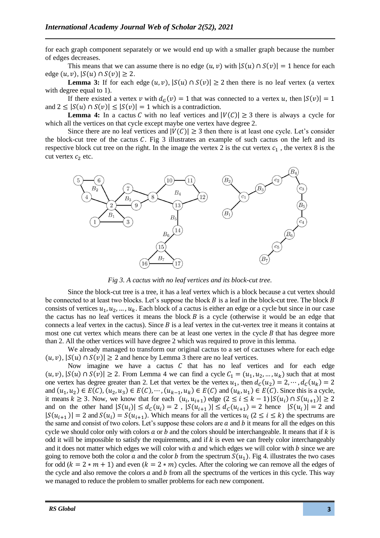for each graph component separately or we would end up with a smaller graph because the number of edges decreases.

This means that we can assume there is no edge  $(u, v)$  with  $|S(u) \cap S(v)| = 1$  hence for each edge  $(u, v)$ ,  $|S(u) \cap S(v)| \geq 2$ .

**Lemma 3:** If for each edge  $(u, v)$ ,  $|S(u) \cap S(v)| \ge 2$  then there is no leaf vertex (a vertex with degree equal to 1).

If there existed a vertex v with  $d_G(v) = 1$  that was connected to a vertex u, then  $|S(v)| = 1$ and  $2 \leq |S(u) \cap S(v)| \leq |S(v)| = 1$  which is a contradiction.

**Lemma 4:** In a cactus C with no leaf vertices and  $|V(C)| \ge 3$  there is always a cycle for which all the vertices on that cycle except maybe one vertex have degree 2.

Since there are no leaf vertices and  $|V(C)| \geq 3$  then there is at least one cycle. Let's consider the block-cut tree of the cactus  $C$ . Fig 3 illustrates an example of such cactus on the left and its respective block cut tree on the right. In the image the vertex 2 is the cut vertex  $c_1$ , the vertex 8 is the cut vertex  $c_2$  etc.



*Fig 3. A cactus with no leaf vertices and its block-cut tree.*

Since the block-cut tree is a tree, it has a leaf vertex which is a block because a cut vertex should be connected to at least two blocks. Let's suppose the block  $B$  is a leaf in the block-cut tree. The block  $B$ consists of vertices  $u_1, u_2, ..., u_k$ . Each block of a cactus is either an edge or a cycle but since in our case the cactus has no leaf vertices it means the block  $B$  is a cycle (otherwise it would be an edge that connects a leaf vertex in the cactus). Since  $B$  is a leaf vertex in the cut-vertex tree it means it contains at most one cut vertex which means there can be at least one vertex in the cycle  $B$  that has degree more than 2. All the other vertices will have degree 2 which was required to prove in this lemma.

We already managed to transform our original cactus to a set of cactuses where for each edge  $(u, v)$ ,  $|S(u) \cap S(v)| \ge 2$  and hence by Lemma 3 there are no leaf vertices.

Now imagine we have a cactus  $C$  that has no leaf vertices and for each edge  $(u, v)$ ,  $|S(u) \cap S(v)| \ge 2$ . From Lemma 4 we can find a cycle  $C_1 = (u_1, u_2, ..., u_k)$  such that at most one vertex has degree greater than 2. Let that vertex be the vertex  $u_1$ , then  $d_c(u_2) = 2, \dots, d_c(u_k) = 2$ and  $(u_1, u_2) \in E(C)$ ,  $(u_2, u_3) \in E(C)$ ,  $\dots$ ,  $(u_{k-1}, u_k) \in E(C)$  and  $(u_k, u_1) \in E(C)$ . Since this is a cycle, it means  $k \ge 3$ . Now, we know that for each  $(u_i, u_{i+1})$  edge  $(2 \le i \le k-1) |S(u_i) \cap S(u_{i+1})| \ge 2$ and on the other hand  $|S(u_i)| \le d_c(u_i) = 2$ ,  $|S(u_{i+1})| \le d_c(u_{i+1}) = 2$  hence  $|S(u_i)| = 2$  and  $|S(u_{i+1})| = 2$  and  $S(u_i) = S(u_{i+1})$ . Which means for all the vertices  $u_i$  ( $2 \le i \le k$ ) the spectrums are the same and consist of two colors. Let's suppose these colors are  $a$  and  $b$  it means for all the edges on this cycle we should color only with colors  $a$  or  $b$  and the colors should be interchangeable. It means that if  $k$  is odd it will be impossible to satisfy the requirements, and if  $k$  is even we can freely color interchangeably and it does not matter which edges we will color with  $a$  and which edges we will color with  $b$  since we are going to remove both the color a and the color b from the spectrum  $S(u_1)$ . Fig 4. illustrates the two cases for odd ( $k = 2 * m + 1$ ) and even ( $k = 2 * m$ ) cycles. After the coloring we can remove all the edges of the cycle and also remove the colors  $a$  and  $b$  from all the spectrums of the vertices in this cycle. This way we managed to reduce the problem to smaller problems for each new component.